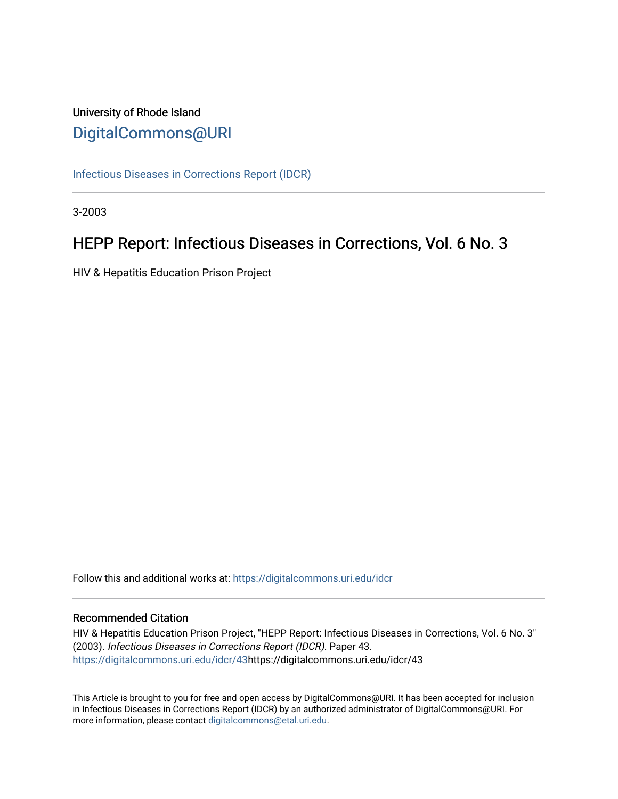# University of Rhode Island [DigitalCommons@URI](https://digitalcommons.uri.edu/)

[Infectious Diseases in Corrections Report \(IDCR\)](https://digitalcommons.uri.edu/idcr)

3-2003

# HEPP Report: Infectious Diseases in Corrections, Vol. 6 No. 3

HIV & Hepatitis Education Prison Project

Follow this and additional works at: [https://digitalcommons.uri.edu/idcr](https://digitalcommons.uri.edu/idcr?utm_source=digitalcommons.uri.edu%2Fidcr%2F43&utm_medium=PDF&utm_campaign=PDFCoverPages)

# Recommended Citation

HIV & Hepatitis Education Prison Project, "HEPP Report: Infectious Diseases in Corrections, Vol. 6 No. 3" (2003). Infectious Diseases in Corrections Report (IDCR). Paper 43. [https://digitalcommons.uri.edu/idcr/43h](https://digitalcommons.uri.edu/idcr/43?utm_source=digitalcommons.uri.edu%2Fidcr%2F43&utm_medium=PDF&utm_campaign=PDFCoverPages)ttps://digitalcommons.uri.edu/idcr/43

This Article is brought to you for free and open access by DigitalCommons@URI. It has been accepted for inclusion in Infectious Diseases in Corrections Report (IDCR) by an authorized administrator of DigitalCommons@URI. For more information, please contact [digitalcommons@etal.uri.edu.](mailto:digitalcommons@etal.uri.edu)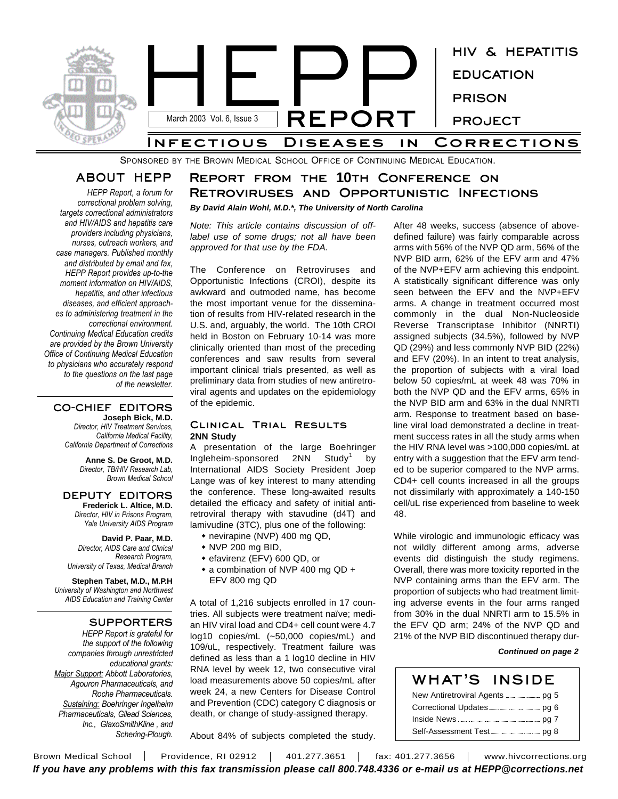

SPONSORED BY THE BROWN MEDICAL SCHOOL OFFICE OF CONTINUING MEDICAL EDUCATION.

# **ABOUT HEPP**

*HEPP Report, a forum for correctional problem solving, targets correctional administrators and HIV/AIDS and hepatitis care providers including physicians, nurses, outreach workers, and case managers. Published monthly and distributed by email and fax, HEPP Report provides up-to-the moment information on HIV/AIDS, hepatitis, and other infectious diseases, and efficient approaches to administering treatment in the correctional environment. Continuing Medical Education credits are provided by the Brown University Office of Continuing Medical Education to physicians who accurately respond to the questions on the last page of the newsletter.*

# **CO-CHIEF EDITORS**

**Joseph Bick, M.D.** *Director, HIV Treatment Services, California Medical Facility, California Department of Corrections*

> **Anne S. De Groot, M.D.** *Director, TB/HIV Research Lab, Brown Medical School*

## **DEPUTY EDITORS Frederick L. Altice, M.D.**

*Director, HIV in Prisons Program, Yale University AIDS Program*

**David P. Paar, M.D.** *Director, AIDS Care and Clinical Research Program, University of Texas, Medical Branch*

**Stephen Tabet, M.D., M.P.H** *University of Washington and Northwest AIDS Education and Training Center*

# **SUPPORTERS**

*HEPP Report is grateful for the support of the following companies through unrestricted educational grants: Major Support: Abbott Laboratories, Agouron Pharmaceuticals, and Roche Pharmaceuticals. Sustaining: Boehringer Ingelheim Pharmaceuticals, Gilead Sciences, Inc., GlaxoSmithKline , and Schering-Plough.*

# **Report from the 10th Conference on Retroviruses and Opportunistic Infections**

*By David Alain Wohl, M.D.\*, The University of North Carolina*

*Note: This article contains discussion of offlabel use of some drugs; not all have been approved for that use by the FDA.*

The Conference on Retroviruses and Opportunistic Infections (CROI), despite its awkward and outmoded name, has become the most important venue for the dissemination of results from HIV-related research in the U.S. and, arguably, the world. The 10th CROI held in Boston on February 10-14 was more clinically oriented than most of the preceding conferences and saw results from several important clinical trials presented, as well as preliminary data from studies of new antiretroviral agents and updates on the epidemiology of the epidemic.

# **Clinical Trial Results 2NN Study**

A presentation of the large Boehringer Ingleheim-sponsored 2NN Study 1 by International AIDS Society President Joep Lange was of key interest to many attending the conference. These long-awaited results detailed the efficacy and safety of initial antiretroviral therapy with stavudine (d4T) and lamivudine (3TC), plus one of the following:

- nevirapine (NVP) 400 mg QD,
- $*$  NVP 200 mg BID,
- w efavirenz (EFV) 600 QD, or
- $\bullet$  a combination of NVP 400 mg QD + EFV 800 mg QD

A total of 1,216 subjects enrolled in 17 countries. All subjects were treatment naïve; median HIV viral load and CD4+ cell count were 4.7 log10 copies/mL (~50,000 copies/mL) and 109/uL, respectively. Treatment failure was defined as less than a 1 log10 decline in HIV RNA level by week 12, two consecutive viral load measurements above 50 copies/mL after week 24, a new Centers for Disease Control and Prevention (CDC) category C diagnosis or death, or change of study-assigned therapy.

About 84% of subjects completed the study.

After 48 weeks, success (absence of abovedefined failure) was fairly comparable across arms with 56% of the NVP QD arm, 56% of the NVP BID arm, 62% of the EFV arm and 47% of the NVP+EFV arm achieving this endpoint. A statistically significant difference was only seen between the EFV and the NVP+EFV arms. A change in treatment occurred most commonly in the dual Non-Nucleoside Reverse Transcriptase Inhibitor (NNRTI) assigned subjects (34.5%), followed by NVP QD (29%) and less commonly NVP BID (22%) and EFV (20%). In an intent to treat analysis, the proportion of subjects with a viral load below 50 copies/mL at week 48 was 70% in both the NVP QD and the EFV arms, 65% in the NVP BID arm and 63% in the dual NNRTI arm. Response to treatment based on baseline viral load demonstrated a decline in treatment success rates in all the study arms when the HIV RNA level was >100,000 copies/mL at entry with a suggestion that the EFV arm tended to be superior compared to the NVP arms. CD4+ cell counts increased in all the groups not dissimilarly with approximately a 140-150 cell/uL rise experienced from baseline to week 48.

While virologic and immunologic efficacy was not wildly different among arms, adverse events did distinguish the study regimens. Overall, there was more toxicity reported in the NVP containing arms than the EFV arm. The proportion of subjects who had treatment limiting adverse events in the four arms ranged from 30% in the dual NNRTI arm to 15.5% in the EFV QD arm; 24% of the NVP QD and 21% of the NVP BID discontinued therapy dur-

### *Continued on page 2*

| WHAT'S                                             | <b>INSIDE</b> |
|----------------------------------------------------|---------------|
| New Antiretroviral Agents <b>Constrainers</b> pg 5 |               |
|                                                    |               |
|                                                    |               |
|                                                    |               |

Brown Medical School | Providence, RI 02912 | 401.277.3651 | fax: 401.277.3656 | www.hivcorrections.org *If you have any problems with this fax transmission please call 800.748.4336 or e-mail us at HEPP@corrections.net*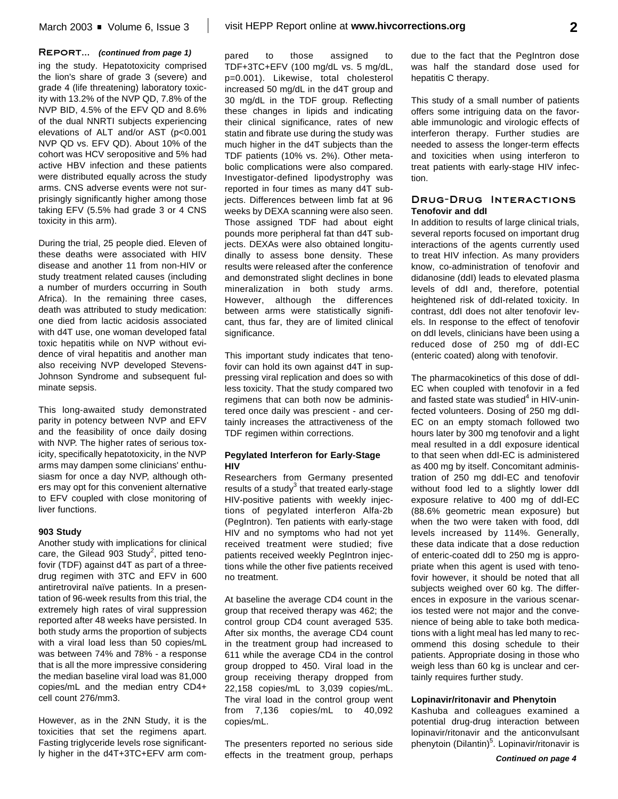# **Report...** *(continued from page 1)*

ing the study. Hepatotoxicity comprised the lion's share of grade 3 (severe) and grade 4 (life threatening) laboratory toxicity with 13.2% of the NVP QD, 7.8% of the NVP BID, 4.5% of the EFV QD and 8.6% of the dual NNRTI subjects experiencing elevations of ALT and/or AST (p<0.001 NVP QD vs. EFV QD). About 10% of the cohort was HCV seropositive and 5% had active HBV infection and these patients were distributed equally across the study arms. CNS adverse events were not surprisingly significantly higher among those taking EFV (5.5% had grade 3 or 4 CNS toxicity in this arm).

During the trial, 25 people died. Eleven of these deaths were associated with HIV disease and another 11 from non-HIV or study treatment related causes (including a number of murders occurring in South Africa). In the remaining three cases, death was attributed to study medication: one died from lactic acidosis associated with d4T use, one woman developed fatal toxic hepatitis while on NVP without evidence of viral hepatitis and another man also receiving NVP developed Stevens-Johnson Syndrome and subsequent fulminate sepsis.

This long-awaited study demonstrated parity in potency between NVP and EFV and the feasibility of once daily dosing with NVP. The higher rates of serious toxicity, specifically hepatotoxicity, in the NVP arms may dampen some clinicians' enthusiasm for once a day NVP, although others may opt for this convenient alternative to EFV coupled with close monitoring of liver functions.

## **903 Study**

Another study with implications for clinical care, the Gilead 903 Study<sup>2</sup>, pitted tenofovir (TDF) against d4T as part of a threedrug regimen with 3TC and EFV in 600 antiretroviral naïve patients. In a presentation of 96-week results from this trial, the extremely high rates of viral suppression reported after 48 weeks have persisted. In both study arms the proportion of subjects with a viral load less than 50 copies/mL was between 74% and 78% - a response that is all the more impressive considering the median baseline viral load was 81,000 copies/mL and the median entry CD4+ cell count 276/mm3.

However, as in the 2NN Study, it is the toxicities that set the regimens apart. Fasting triglyceride levels rose significantly higher in the d4T+3TC+EFV arm compared to those assigned to TDF+3TC+EFV (100 mg/dL vs. 5 mg/dL, p=0.001). Likewise, total cholesterol increased 50 mg/dL in the d4T group and 30 mg/dL in the TDF group. Reflecting these changes in lipids and indicating their clinical significance, rates of new statin and fibrate use during the study was much higher in the d4T subjects than the TDF patients (10% vs. 2%). Other metabolic complications were also compared. Investigator-defined lipodystrophy was reported in four times as many d4T subjects. Differences between limb fat at 96 weeks by DEXA scanning were also seen. Those assigned TDF had about eight pounds more peripheral fat than d4T subjects. DEXAs were also obtained longitudinally to assess bone density. These results were released after the conference and demonstrated slight declines in bone mineralization in both study arms. However, although the differences between arms were statistically significant, thus far, they are of limited clinical significance.

This important study indicates that tenofovir can hold its own against d4T in suppressing viral replication and does so with less toxicity. That the study compared two regimens that can both now be administered once daily was prescient - and certainly increases the attractiveness of the TDF regimen within corrections.

# **Pegylated Interferon for Early-Stage HIV**

Researchers from Germany presented results of a study $3$  that treated early-stage HIV-positive patients with weekly injections of pegylated interferon Alfa-2b (PegIntron). Ten patients with early-stage HIV and no symptoms who had not yet received treatment were studied; five patients received weekly PegIntron injections while the other five patients received no treatment.

At baseline the average CD4 count in the group that received therapy was 462; the control group CD4 count averaged 535. After six months, the average CD4 count in the treatment group had increased to 611 while the average CD4 in the control group dropped to 450. Viral load in the group receiving therapy dropped from 22,158 copies/mL to 3,039 copies/mL. The viral load in the control group went from 7,136 copies/mL to 40,092 copies/mL.

The presenters reported no serious side effects in the treatment group, perhaps due to the fact that the PegIntron dose was half the standard dose used for hepatitis C therapy.

This study of a small number of patients offers some intriguing data on the favorable immunologic and virologic effects of interferon therapy. Further studies are needed to assess the longer-term effects and toxicities when using interferon to treat patients with early-stage HIV infection.

# **Drug-Drug Interactions Tenofovir and ddI**

In addition to results of large clinical trials, several reports focused on important drug interactions of the agents currently used to treat HIV infection. As many providers know, co-administration of tenofovir and didanosine (ddI) leads to elevated plasma levels of ddI and, therefore, potential heightened risk of ddI-related toxicity. In contrast, ddI does not alter tenofovir levels. In response to the effect of tenofovir on ddI levels, clinicians have been using a reduced dose of 250 mg of ddI-EC (enteric coated) along with tenofovir.

The pharmacokinetics of this dose of ddI-EC when coupled with tenofovir in a fed and fasted state was studied<sup>4</sup> in HIV-uninfected volunteers. Dosing of 250 mg ddI-EC on an empty stomach followed two hours later by 300 mg tenofovir and a light meal resulted in a ddI exposure identical to that seen when ddI-EC is administered as 400 mg by itself. Concomitant administration of 250 mg ddI-EC and tenofovir without food led to a slightly lower ddI exposure relative to 400 mg of ddI-EC (88.6% geometric mean exposure) but when the two were taken with food, ddI levels increased by 114%. Generally, these data indicate that a dose reduction of enteric-coated ddI to 250 mg is appropriate when this agent is used with tenofovir however, it should be noted that all subjects weighed over 60 kg. The differences in exposure in the various scenarios tested were not major and the convenience of being able to take both medications with a light meal has led many to recommend this dosing schedule to their patients. Appropriate dosing in those who weigh less than 60 kg is unclear and certainly requires further study.

## **Lopinavir/ritonavir and Phenytoin**

Kashuba and colleagues examined a potential drug-drug interaction between lopinavir/ritonavir and the anticonvulsant phenytoin (Dilantin) 5 . Lopinavir/ritonavir is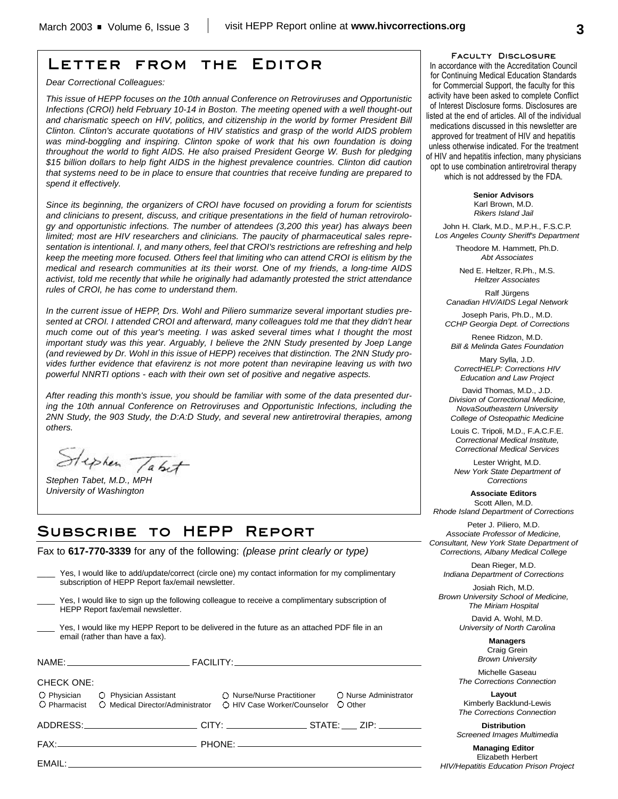# **Letter from the Editor**

*Dear Correctional Colleagues:*

*This issue of HEPP focuses on the 10th annual Conference on Retroviruses and Opportunistic Infections (CROI) held February 10-14 in Boston. The meeting opened with a well thought-out and charismatic speech on HIV, politics, and citizenship in the world by former President Bill Clinton. Clinton's accurate quotations of HIV statistics and grasp of the world AIDS problem was mind-boggling and inspiring. Clinton spoke of work that his own foundation is doing throughout the world to fight AIDS. He also praised President George W. Bush for pledging \$15 billion dollars to help fight AIDS in the highest prevalence countries. Clinton did caution that systems need to be in place to ensure that countries that receive funding are prepared to spend it effectively.*

*Since its beginning, the organizers of CROI have focused on providing a forum for scientists and clinicians to present, discuss, and critique presentations in the field of human retrovirology and opportunistic infections. The number of attendees (3,200 this year) has always been limited; most are HIV researchers and clinicians. The paucity of pharmaceutical sales representation is intentional. I, and many others, feel that CROI's restrictions are refreshing and help keep the meeting more focused. Others feel that limiting who can attend CROI is elitism by the medical and research communities at its their worst. One of my friends, a long-time AIDS activist, told me recently that while he originally had adamantly protested the strict attendance rules of CROI, he has come to understand them.*

*In the current issue of HEPP, Drs. Wohl and Piliero summarize several important studies presented at CROI. I attended CROI and afterward, many colleagues told me that they didn't hear much come out of this year's meeting. I was asked several times what I thought the most important study was this year. Arguably, I believe the 2NN Study presented by Joep Lange (and reviewed by Dr. Wohl in this issue of HEPP) receives that distinction. The 2NN Study provides further evidence that efavirenz is not more potent than nevirapine leaving us with two powerful NNRTI options - each with their own set of positive and negative aspects.*

*After reading this month's issue, you should be familiar with some of the data presented during the 10th annual Conference on Retroviruses and Opportunistic Infections, including the 2NN Study, the 903 Study, the D:A:D Study, and several new antiretroviral therapies, among others.*

Stephen Tabet

*Stephen Tabet, M.D., MPH University of Washington*

# **Subscribe to HEPP Report**

Fax to **617-770-3339** for any of the following: *(please print clearly or type)*

|                                                                                                                                      | Yes, I would like to add/update/correct (circle one) my contact information for my complimentary<br>subscription of HEPP Report fax/email newsletter. |                             |                                  |  |
|--------------------------------------------------------------------------------------------------------------------------------------|-------------------------------------------------------------------------------------------------------------------------------------------------------|-----------------------------|----------------------------------|--|
| Yes, I would like to sign up the following colleague to receive a complimentary subscription of<br>HEPP Report fax/email newsletter. |                                                                                                                                                       |                             |                                  |  |
| Yes, I would like my HEPP Report to be delivered in the future as an attached PDF file in an<br>email (rather than have a fax).      |                                                                                                                                                       |                             |                                  |  |
|                                                                                                                                      |                                                                                                                                                       |                             |                                  |  |
| CHECK ONE:                                                                                                                           |                                                                                                                                                       |                             |                                  |  |
|                                                                                                                                      | O Physician C Physician Assistant C Nurse/Nurse Practitioner<br>O Pharmacist O Medical Director/Administrator                                         | ○ HIV Case Worker/Counselor | O Nurse Administrator<br>O Other |  |
|                                                                                                                                      | ____________________________________CITY: ______________________STATE: _____ ZIP: _________________                                                   |                             |                                  |  |
|                                                                                                                                      |                                                                                                                                                       |                             |                                  |  |
|                                                                                                                                      |                                                                                                                                                       |                             |                                  |  |

**Faculty Disclosure** In accordance with the Accreditation Council for Continuing Medical Education Standards for Commercial Support, the faculty for this activity have been asked to complete Conflict of Interest Disclosure forms. Disclosures are listed at the end of articles. All of the individual medications discussed in this newsletter are approved for treatment of HIV and hepatitis unless otherwise indicated. For the treatment of HIV and hepatitis infection, many physicians opt to use combination antiretroviral therapy which is not addressed by the FDA.

> **Senior Advisors** Karl Brown, M.D. *Rikers Island Jail*

John H. Clark, M.D., M.P.H., F.S.C.P. *Los Angeles County Sheriff's Department*

> Theodore M. Hammett, Ph.D. *Abt Associates*

Ned E. Heltzer, R.Ph., M.S. *Heltzer Associates*

Ralf Jürgens *Canadian HIV/AIDS Legal Network*

Joseph Paris, Ph.D., M.D. *CCHP Georgia Dept. of Corrections*

Renee Ridzon, M.D. *Bill & Melinda Gates Foundation*

Mary Sylla, J.D. *CorrectHELP: Corrections HIV Education and Law Project*

David Thomas, M.D., J.D. *Division of Correctional Medicine, NovaSoutheastern University College of Osteopathic Medicine*

Louis C. Tripoli, M.D., F.A.C.F.E. *Correctional Medical Institute, Correctional Medical Services*

Lester Wright, M.D. *New York State Department of Corrections*

**Associate Editors**

Scott Allen, M.D. *Rhode Island Department of Corrections*

Peter J. Piliero, M.D. *Associate Professor of Medicine, Consultant, New York State Department of Corrections, Albany Medical College*

Dean Rieger, M.D. *Indiana Department of Corrections*

Josiah Rich, M.D. *Brown University School of Medicine, The Miriam Hospital*

David A. Wohl, M.D. *University of North Carolina*

> **Managers** Craig Grein *Brown University*

Michelle Gaseau *The Corrections Connection*

**Layout** Kimberly Backlund-Lewis *The Corrections Connection*

**Distribution** *Screened Images Multimedia*

**Managing Editor** Elizabeth Herbert *HIV/Hepatitis Education Prison Project*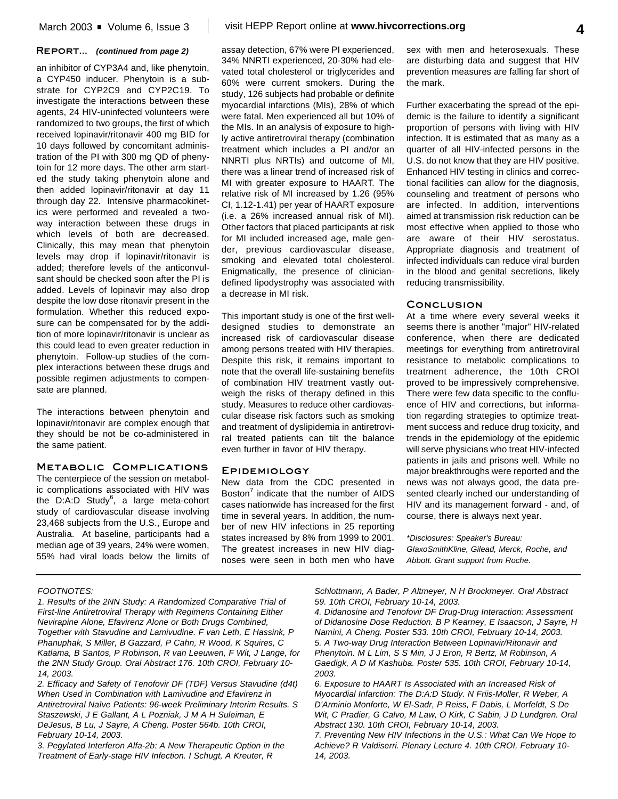### **Report...** *(continued from page 2)*

an inhibitor of CYP3A4 and, like phenytoin, a CYP450 inducer. Phenytoin is a substrate for CYP2C9 and CYP2C19. To investigate the interactions between these agents, 24 HIV-uninfected volunteers were randomized to two groups, the first of which received lopinavir/ritonavir 400 mg BID for 10 days followed by concomitant administration of the PI with 300 mg QD of phenytoin for 12 more days. The other arm started the study taking phenytoin alone and then added lopinavir/ritonavir at day 11 through day 22. Intensive pharmacokinetics were performed and revealed a twoway interaction between these drugs in which levels of both are decreased. Clinically, this may mean that phenytoin levels may drop if lopinavir/ritonavir is added; therefore levels of the anticonvulsant should be checked soon after the PI is added. Levels of lopinavir may also drop despite the low dose ritonavir present in the formulation. Whether this reduced exposure can be compensated for by the addition of more lopinavir/ritonavir is unclear as this could lead to even greater reduction in phenytoin. Follow-up studies of the complex interactions between these drugs and possible regimen adjustments to compensate are planned.

The interactions between phenytoin and lopinavir/ritonavir are complex enough that they should be not be co-administered in the same patient.

# **Metabolic Complications**

The centerpiece of the session on metabolic complications associated with HIV was the D:A:D Study<sup>6</sup>, a large meta-cohort study of cardiovascular disease involving 23,468 subjects from the U.S., Europe and Australia. At baseline, participants had a median age of 39 years, 24% were women, 55% had viral loads below the limits of

assay detection, 67% were PI experienced, 34% NNRTI experienced, 20-30% had elevated total cholesterol or triglycerides and 60% were current smokers. During the study, 126 subjects had probable or definite myocardial infarctions (MIs), 28% of which were fatal. Men experienced all but 10% of the MIs. In an analysis of exposure to highly active antiretroviral therapy (combination treatment which includes a PI and/or an NNRTI plus NRTIs) and outcome of MI, there was a linear trend of increased risk of MI with greater exposure to HAART. The relative risk of MI increased by 1.26 (95% CI, 1.12-1.41) per year of HAART exposure (i.e. a 26% increased annual risk of MI). Other factors that placed participants at risk for MI included increased age, male gender, previous cardiovascular disease, smoking and elevated total cholesterol. Enigmatically, the presence of cliniciandefined lipodystrophy was associated with a decrease in MI risk.

This important study is one of the first welldesigned studies to demonstrate an increased risk of cardiovascular disease among persons treated with HIV therapies. Despite this risk, it remains important to note that the overall life-sustaining benefits of combination HIV treatment vastly outweigh the risks of therapy defined in this study. Measures to reduce other cardiovascular disease risk factors such as smoking and treatment of dyslipidemia in antiretroviral treated patients can tilt the balance even further in favor of HIV therapy.

### **Epidemiology**

New data from the CDC presented in Boston<sup>7</sup> indicate that the number of AIDS cases nationwide has increased for the first time in several years. In addition, the number of new HIV infections in 25 reporting states increased by 8% from 1999 to 2001. The greatest increases in new HIV diagnoses were seen in both men who have sex with men and heterosexuals. These are disturbing data and suggest that HIV prevention measures are falling far short of the mark.

Further exacerbating the spread of the epidemic is the failure to identify a significant proportion of persons with living with HIV infection. It is estimated that as many as a quarter of all HIV-infected persons in the U.S. do not know that they are HIV positive. Enhanced HIV testing in clinics and correctional facilities can allow for the diagnosis, counseling and treatment of persons who are infected. In addition, interventions aimed at transmission risk reduction can be most effective when applied to those who are aware of their HIV serostatus. Appropriate diagnosis and treatment of infected individuals can reduce viral burden in the blood and genital secretions, likely reducing transmissibility.

## **Conclusion**

At a time where every several weeks it seems there is another "major" HIV-related conference, when there are dedicated meetings for everything from antiretroviral resistance to metabolic complications to treatment adherence, the 10th CROI proved to be impressively comprehensive. There were few data specific to the confluence of HIV and corrections, but information regarding strategies to optimize treatment success and reduce drug toxicity, and trends in the epidemiology of the epidemic will serve physicians who treat HIV-infected patients in jails and prisons well. While no major breakthroughs were reported and the news was not always good, the data presented clearly inched our understanding of HIV and its management forward - and, of course, there is always next year.

*\*Disclosures: Speaker's Bureau: GlaxoSmithKline, Gilead, Merck, Roche, and Abbott. Grant support from Roche.*

#### *FOOTNOTES:*

*1. Results of the 2NN Study: A Randomized Comparative Trial of First-line Antiretroviral Therapy with Regimens Containing Either Nevirapine Alone, Efavirenz Alone or Both Drugs Combined, Together with Stavudine and Lamivudine. F van Leth, E Hassink, P Phanuphak, S Miller, B Gazzard, P Cahn, R Wood, K Squires, C Katlama, B Santos, P Robinson, R van Leeuwen, F Wit, J Lange, for the 2NN Study Group. Oral Abstract 176. 10th CROI, February 10- 14, 2003.*

*2. Efficacy and Safety of Tenofovir DF (TDF) Versus Stavudine (d4t) When Used in Combination with Lamivudine and Efavirenz in Antiretroviral Naïve Patients: 96-week Preliminary Interim Results. S Staszewski, J E Gallant, A L Pozniak, J M A H Suleiman, E DeJesus, B Lu, J Sayre, A Cheng. Poster 564b. 10th CROI, February 10-14, 2003.*

*3. Pegylated Interferon Alfa-2b: A New Therapeutic Option in the Treatment of Early-stage HIV Infection. I Schugt, A Kreuter, R*

*Schlottmann, A Bader, P Altmeyer, N H Brockmeyer. Oral Abstract 59. 10th CROI, February 10-14, 2003.*

*4. Didanosine and Tenofovir DF Drug-Drug Interaction: Assessment of Didanosine Dose Reduction. B P Kearney, E Isaacson, J Sayre, H Namini, A Cheng. Poster 533. 10th CROI, February 10-14, 2003. 5. A Two-way Drug Interaction Between Lopinavir/Ritonavir and Phenytoin. M L Lim, S S Min, J J Eron, R Bertz, M Robinson, A Gaedigk, A D M Kashuba. Poster 535. 10th CROI, February 10-14, 2003.*

*6. Exposure to HAART Is Associated with an Increased Risk of Myocardial Infarction: The D:A:D Study. N Friis-Moller, R Weber, A D'Arminio Monforte, W El-Sadr, P Reiss, F Dabis, L Morfeldt, S De Wit, C Pradier, G Calvo, M Law, O Kirk, C Sabin, J D Lundgren. Oral Abstract 130. 10th CROI, February 10-14, 2003.*

*7. Preventing New HIV Infections in the U.S.: What Can We Hope to Achieve? R Valdiserri. Plenary Lecture 4. 10th CROI, February 10- 14, 2003.*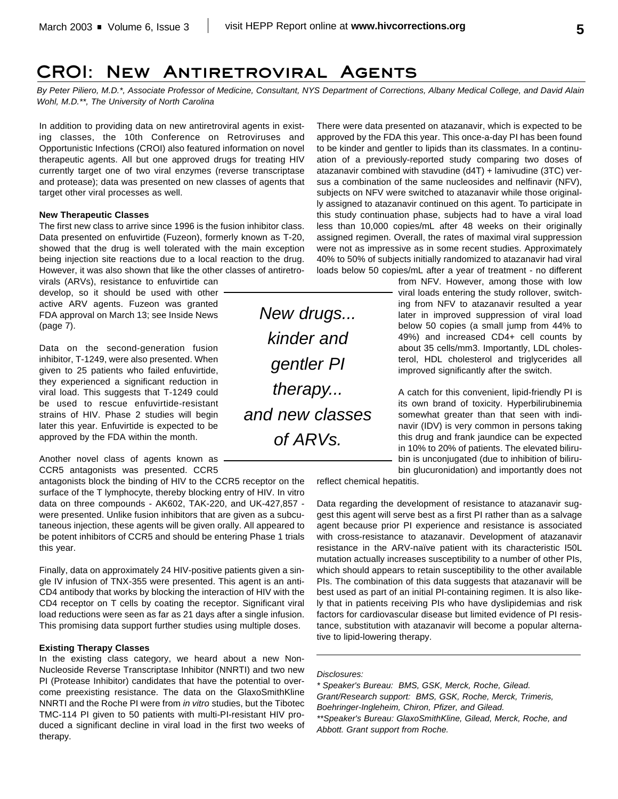# **CROI: New Antiretroviral Agents**

*By Peter Piliero, M.D.\*, Associate Professor of Medicine, Consultant, NYS Department of Corrections, Albany Medical College, and David Alain Wohl, M.D.\*\*, The University of North Carolina*

In addition to providing data on new antiretroviral agents in existing classes, the 10th Conference on Retroviruses and Opportunistic Infections (CROI) also featured information on novel therapeutic agents. All but one approved drugs for treating HIV currently target one of two viral enzymes (reverse transcriptase and protease); data was presented on new classes of agents that target other viral processes as well.

### **New Therapeutic Classes**

The first new class to arrive since 1996 is the fusion inhibitor class. Data presented on enfuvirtide (Fuzeon), formerly known as T-20, showed that the drug is well tolerated with the main exception being injection site reactions due to a local reaction to the drug. However, it was also shown that like the other classes of antiretro-

virals (ARVs), resistance to enfuvirtide can develop, so it should be used with other active ARV agents. Fuzeon was granted FDA approval on March 13; see Inside News (page 7).

Data on the second-generation fusion inhibitor, T-1249, were also presented. When given to 25 patients who failed enfuvirtide, they experienced a significant reduction in viral load. This suggests that T-1249 could be used to rescue enfuvirtide-resistant strains of HIV. Phase 2 studies will begin later this year. Enfuvirtide is expected to be approved by the FDA within the month.

Another novel class of agents known as CCR5 antagonists was presented. CCR5

antagonists block the binding of HIV to the CCR5 receptor on the surface of the T lymphocyte, thereby blocking entry of HIV. In vitro data on three compounds - AK602, TAK-220, and UK-427,857 were presented. Unlike fusion inhibitors that are given as a subcutaneous injection, these agents will be given orally. All appeared to be potent inhibitors of CCR5 and should be entering Phase 1 trials this year.

Finally, data on approximately 24 HIV-positive patients given a single IV infusion of TNX-355 were presented. This agent is an anti-CD4 antibody that works by blocking the interaction of HIV with the CD4 receptor on T cells by coating the receptor. Significant viral load reductions were seen as far as 21 days after a single infusion. This promising data support further studies using multiple doses.

# **Existing Therapy Classes**

In the existing class category, we heard about a new Non-Nucleoside Reverse Transcriptase Inhibitor (NNRTI) and two new PI (Protease Inhibitor) candidates that have the potential to overcome preexisting resistance. The data on the GlaxoSmithKline NNRTI and the Roche PI were from *in vitro* studies, but the Tibotec TMC-114 PI given to 50 patients with multi-PI-resistant HIV produced a significant decline in viral load in the first two weeks of therapy.

There were data presented on atazanavir, which is expected to be approved by the FDA this year. This once-a-day PI has been found to be kinder and gentler to lipids than its classmates. In a continuation of a previously-reported study comparing two doses of atazanavir combined with stavudine (d4T) + lamivudine (3TC) versus a combination of the same nucleosides and nelfinavir (NFV), subjects on NFV were switched to atazanavir while those originally assigned to atazanavir continued on this agent. To participate in this study continuation phase, subjects had to have a viral load less than 10,000 copies/mL after 48 weeks on their originally assigned regimen. Overall, the rates of maximal viral suppression were not as impressive as in some recent studies. Approximately 40% to 50% of subjects initially randomized to atazanavir had viral loads below 50 copies/mL after a year of treatment - no different

> from NFV. However, among those with low viral loads entering the study rollover, switching from NFV to atazanavir resulted a year later in improved suppression of viral load below 50 copies (a small jump from 44% to 49%) and increased CD4+ cell counts by about 35 cells/mm3. Importantly, LDL cholesterol, HDL cholesterol and triglycerides all improved significantly after the switch.

> A catch for this convenient, lipid-friendly PI is its own brand of toxicity. Hyperbilirubinemia somewhat greater than that seen with indinavir (IDV) is very common in persons taking this drug and frank jaundice can be expected in 10% to 20% of patients. The elevated bilirubin is unconjugated (due to inhibition of bilirubin glucuronidation) and importantly does not

reflect chemical hepatitis.

Data regarding the development of resistance to atazanavir suggest this agent will serve best as a first PI rather than as a salvage agent because prior PI experience and resistance is associated with cross-resistance to atazanavir. Development of atazanavir resistance in the ARV-naïve patient with its characteristic I50L mutation actually increases susceptibility to a number of other PIs, which should appears to retain susceptibility to the other available PIs. The combination of this data suggests that atazanavir will be best used as part of an initial PI-containing regimen. It is also likely that in patients receiving PIs who have dyslipidemias and risk factors for cardiovascular disease but limited evidence of PI resistance, substitution with atazanavir will become a popular alternative to lipid-lowering therapy.

#### *Disclosures:*

*\* Speaker's Bureau: BMS, GSK, Merck, Roche, Gilead. Grant/Research support: BMS, GSK, Roche, Merck, Trimeris, Boehringer-Ingleheim, Chiron, Pfizer, and Gilead. \*\*Speaker's Bureau: GlaxoSmithKline, Gilead, Merck, Roche, and Abbott. Grant support from Roche.*

*New drugs... kinder and gentler PI therapy... and new classes of ARVs.*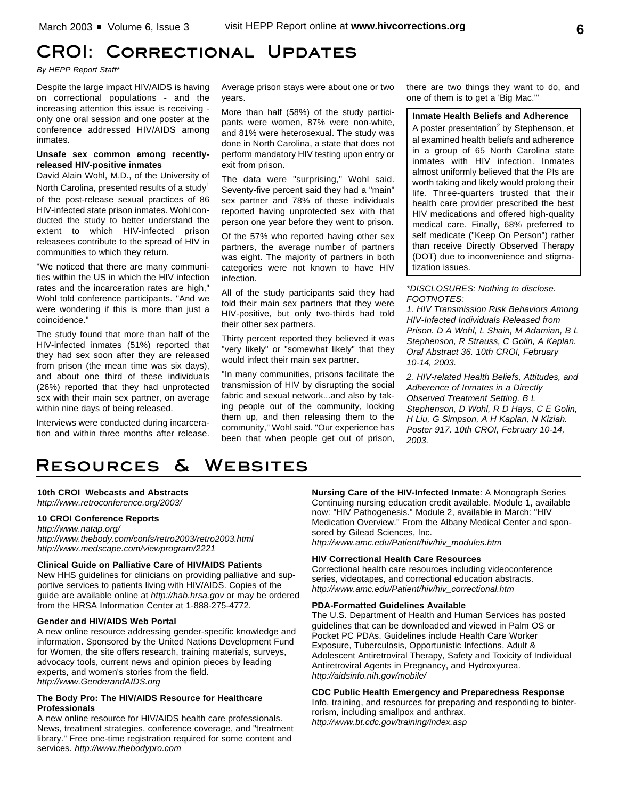# **CROI: Correctional Updates**

# *By HEPP Report Staff\**

Despite the large impact HIV/AIDS is having on correctional populations - and the increasing attention this issue is receiving only one oral session and one poster at the conference addressed HIV/AIDS among inmates.

# **Unsafe sex common among recentlyreleased HIV-positive inmates**

David Alain Wohl, M.D., of the University of North Carolina, presented results of a study<sup>1</sup> of the post-release sexual practices of 86 HIV-infected state prison inmates. Wohl conducted the study to better understand the extent to which HIV-infected prison releasees contribute to the spread of HIV in communities to which they return.

"We noticed that there are many communities within the US in which the HIV infection rates and the incarceration rates are high," Wohl told conference participants. "And we were wondering if this is more than just a coincidence."

The study found that more than half of the HIV-infected inmates (51%) reported that they had sex soon after they are released from prison (the mean time was six days), and about one third of these individuals (26%) reported that they had unprotected sex with their main sex partner, on average within nine days of being released.

Interviews were conducted during incarceration and within three months after release.

Average prison stays were about one or two years.

More than half (58%) of the study participants were women, 87% were non-white, and 81% were heterosexual. The study was done in North Carolina, a state that does not perform mandatory HIV testing upon entry or exit from prison.

The data were "surprising," Wohl said. Seventy-five percent said they had a "main" sex partner and 78% of these individuals reported having unprotected sex with that person one year before they went to prison.

Of the 57% who reported having other sex partners, the average number of partners was eight. The majority of partners in both categories were not known to have HIV infection.

All of the study participants said they had told their main sex partners that they were HIV-positive, but only two-thirds had told their other sex partners.

Thirty percent reported they believed it was "very likely" or "somewhat likely" that they would infect their main sex partner.

"In many communities, prisons facilitate the transmission of HIV by disrupting the social fabric and sexual network...and also by taking people out of the community, locking them up, and then releasing them to the community," Wohl said. "Our experience has been that when people get out of prison, there are two things they want to do, and one of them is to get a 'Big Mac."'

## **Inmate Health Beliefs and Adherence**

A poster presentation<sup>2</sup> by Stephenson, et al examined health beliefs and adherence in a group of 65 North Carolina state inmates with HIV infection. Inmates almost uniformly believed that the PIs are worth taking and likely would prolong their life. Three-quarters trusted that their health care provider prescribed the best HIV medications and offered high-quality medical care. Finally, 68% preferred to self medicate ("Keep On Person") rather than receive Directly Observed Therapy (DOT) due to inconvenience and stigmatization issues.

*\*DISCLOSURES: Nothing to disclose. FOOTNOTES:*

*1. HIV Transmission Risk Behaviors Among HIV-Infected Individuals Released from Prison. D A Wohl, L Shain, M Adamian, B L Stephenson, R Strauss, C Golin, A Kaplan. Oral Abstract 36. 10th CROI, February 10-14, 2003.*

*2. HIV-related Health Beliefs, Attitudes, and Adherence of Inmates in a Directly Observed Treatment Setting. B L Stephenson, D Wohl, R D Hays, C E Golin, H Liu, G Simpson, A H Kaplan, N Kiziah. Poster 917. 10th CROI, February 10-14, 2003.*

# **Resources & Websites**

# **10th CROI Webcasts and Abstracts**

*http://www.retroconference.org/2003/*

# **10 CROI Conference Reports**

*http://www.natap.org/ http://www.thebody.com/confs/retro2003/retro2003.html http://www.medscape.com/viewprogram/2221*

# **Clinical Guide on Palliative Care of HIV/AIDS Patients**

New HHS guidelines for clinicians on providing palliative and supportive services to patients living with HIV/AIDS. Copies of the guide are available online at *http://hab.hrsa.gov* or may be ordered from the HRSA Information Center at 1-888-275-4772.

## **Gender and HIV/AIDS Web Portal**

A new online resource addressing gender-specific knowledge and information. Sponsored by the United Nations Development Fund for Women, the site offers research, training materials, surveys, advocacy tools, current news and opinion pieces by leading experts, and women's stories from the field. *http://www.GenderandAIDS.org*

## **The Body Pro: The HIV/AIDS Resource for Healthcare Professionals**

A new online resource for HIV/AIDS health care professionals. News, treatment strategies, conference coverage, and "treatment library." Free one-time registration required for some content and services. *http://www.thebodypro.com*

**Nursing Care of the HIV-Infected Inmate**: A Monograph Series Continuing nursing education credit available. Module 1, available now: "HIV Pathogenesis." Module 2, available in March: "HIV Medication Overview." From the Albany Medical Center and sponsored by Gilead Sciences, Inc. *http://www.amc.edu/Patient/hiv/hiv\_modules.htm*

### **HIV Correctional Health Care Resources**

Correctional health care resources including videoconference series, videotapes, and correctional education abstracts. *http://www.amc.edu/Patient/hiv/hiv\_correctional.htm*

### **PDA-Formatted Guidelines Available**

The U.S. Department of Health and Human Services has posted guidelines that can be downloaded and viewed in Palm OS or Pocket PC PDAs. Guidelines include Health Care Worker Exposure, Tuberculosis, Opportunistic Infections, Adult & Adolescent Antiretroviral Therapy, Safety and Toxicity of Individual Antiretroviral Agents in Pregnancy, and Hydroxyurea. *http://aidsinfo.nih.gov/mobile/*

# **CDC Public Health Emergency and Preparedness Response**

Info, training, and resources for preparing and responding to bioterrorism, including smallpox and anthrax. *http://www.bt.cdc.gov/training/index.asp*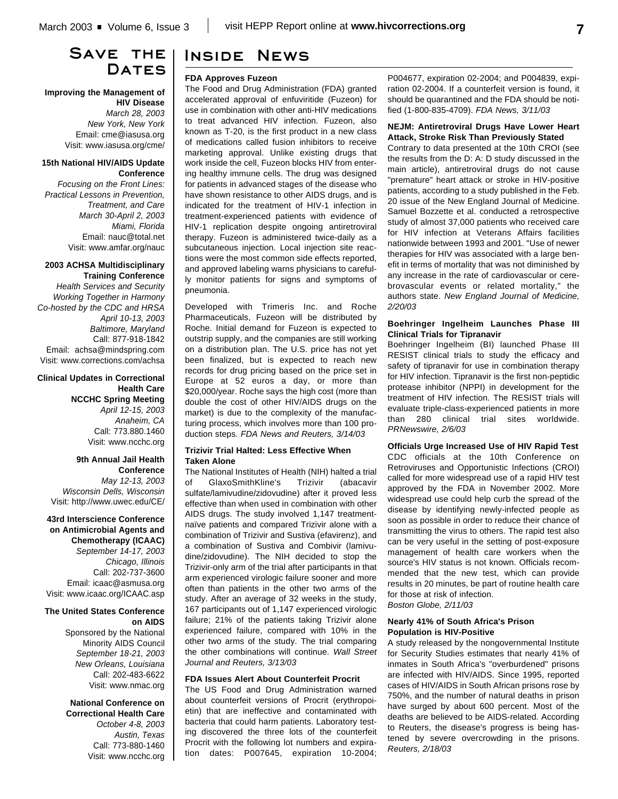# **Save the** DATES

#### **Improving the Management of HIV Disease**

*March 28, 2003 New York, New York* Email: cme@iasusa.org Visit: www.iasusa.org/cme/

### **15th National HIV/AIDS Update Conference**

*Focusing on the Front Lines: Practical Lessons in Prevention, Treatment, and Care March 30-April 2, 2003 Miami, Florida* Email: nauc@total.net Visit: www.amfar.org/nauc

# **2003 ACHSA Multidisciplinary**

**Training Conference** *Health Services and Security Working Together in Harmony Co-hosted by the CDC and HRSA April 10-13, 2003 Baltimore, Maryland* Call: 877-918-1842 Email: achsa@mindspring.com Visit: www.corrections.com/achsa

**Clinical Updates in Correctional Health Care NCCHC Spring Meeting** *April 12-15, 2003 Anaheim, CA* Call: 773.880.1460 Visit: www.ncchc.org

# **9th Annual Jail Health Conference**

*May 12-13, 2003 Wisconsin Dells, Wisconsin* Visit: http://www.uwec.edu/CE/

### **43rd Interscience Conference on Antimicrobial Agents and Chemotherapy (ICAAC)**

*September 14-17, 2003 Chicago, Illinois* Call: 202-737-3600 Email: icaac@asmusa.org Visit: www.icaac.org/ICAAC.asp

### **The United States Conference on AIDS**

Sponsored by the National Minority AIDS Council *September 18-21, 2003 New Orleans, Louisiana* Call: 202-483-6622 Visit: www.nmac.org

**National Conference on Correctional Health Care** *October 4-8, 2003 Austin, Texas* Call: 773-880-1460 Visit: www.ncchc.org

# **Inside News**

# **FDA Approves Fuzeon**

The Food and Drug Administration (FDA) granted accelerated approval of enfuviritide (Fuzeon) for use in combination with other anti-HIV medications to treat advanced HIV infection. Fuzeon, also known as T-20, is the first product in a new class of medications called fusion inhibitors to receive marketing approval. Unlike existing drugs that work inside the cell, Fuzeon blocks HIV from entering healthy immune cells. The drug was designed for patients in advanced stages of the disease who have shown resistance to other AIDS drugs, and is indicated for the treatment of HIV-1 infection in treatment-experienced patients with evidence of HIV-1 replication despite ongoing antiretroviral therapy. Fuzeon is administered twice-daily as a subcutaneous injection. Local injection site reactions were the most common side effects reported, and approved labeling warns physicians to carefully monitor patients for signs and symptoms of pneumonia.

Developed with Trimeris Inc. and Roche Pharmaceuticals, Fuzeon will be distributed by Roche. Initial demand for Fuzeon is expected to outstrip supply, and the companies are still working on a distribution plan. The U.S. price has not yet been finalized, but is expected to reach new records for drug pricing based on the price set in Europe at 52 euros a day, or more than \$20,000/year. Roche says the high cost (more than double the cost of other HIV/AIDS drugs on the market) is due to the complexity of the manufacturing process, which involves more than 100 production steps. *FDA News and Reuters, 3/14/03*

## **Trizivir Trial Halted: Less Effective When Taken Alone**

The National Institutes of Health (NIH) halted a trial of GlaxoSmithKline's Trizivir (abacavir sulfate/lamivudine/zidovudine) after it proved less effective than when used in combination with other AIDS drugs. The study involved 1,147 treatmentnaïve patients and compared Trizivir alone with a combination of Trizivir and Sustiva (efavirenz), and a combination of Sustiva and Combivir (lamivudine/zidovudine). The NIH decided to stop the Trizivir-only arm of the trial after participants in that arm experienced virologic failure sooner and more often than patients in the other two arms of the study. After an average of 32 weeks in the study, 167 participants out of 1,147 experienced virologic failure; 21% of the patients taking Trizivir alone experienced failure, compared with 10% in the other two arms of the study. The trial comparing the other combinations will continue. *Wall Street Journal and Reuters, 3/13/03*

# **FDA Issues Alert About Counterfeit Procrit**

The US Food and Drug Administration warned about counterfeit versions of Procrit (erythropoietin) that are ineffective and contaminated with bacteria that could harm patients. Laboratory testing discovered the three lots of the counterfeit Procrit with the following lot numbers and expiration dates: P007645, expiration 10-2004;

P004677, expiration 02-2004; and P004839, expiration 02-2004. If a counterfeit version is found, it should be quarantined and the FDA should be notified (1-800-835-4709). *FDA News, 3/11/03*

## **NEJM: Antiretroviral Drugs Have Lower Heart Attack, Stroke Risk Than Previously Stated**

Contrary to data presented at the 10th CROI (see the results from the D: A: D study discussed in the main article), antiretroviral drugs do not cause "premature" heart attack or stroke in HIV-positive patients, according to a study published in the Feb. 20 issue of the New England Journal of Medicine. Samuel Bozzette et al. conducted a retrospective study of almost 37,000 patients who received care for HIV infection at Veterans Affairs facilities nationwide between 1993 and 2001. "Use of newer therapies for HIV was associated with a large benefit in terms of mortality that was not diminished by any increase in the rate of cardiovascular or cerebrovascular events or related mortality," the authors state. *New England Journal of Medicine, 2/20/03*

# **Boehringer Ingelheim Launches Phase III Clinical Trials for Tipranavir**

Boehringer Ingelheim (BI) launched Phase III RESIST clinical trials to study the efficacy and safety of tipranavir for use in combination therapy for HIV infection. Tipranavir is the first non-peptidic protease inhibitor (NPPI) in development for the treatment of HIV infection. The RESIST trials will evaluate triple-class-experienced patients in more than 280 clinical trial sites worldwide. *PRNewswire, 2/6/03*

**Officials Urge Increased Use of HIV Rapid Test** CDC officials at the 10th Conference on Retroviruses and Opportunistic Infections (CROI) called for more widespread use of a rapid HIV test approved by the FDA in November 2002. More widespread use could help curb the spread of the disease by identifying newly-infected people as soon as possible in order to reduce their chance of transmitting the virus to others. The rapid test also can be very useful in the setting of post-exposure management of health care workers when the source's HIV status is not known. Officials recommended that the new test, which can provide results in 20 minutes, be part of routine health care for those at risk of infection.

*Boston Globe, 2/11/03*

# **Nearly 41% of South Africa's Prison Population is HIV-Positive**

A study released by the nongovernmental Institute for Security Studies estimates that nearly 41% of inmates in South Africa's "overburdened" prisons are infected with HIV/AIDS. Since 1995, reported cases of HIV/AIDS in South African prisons rose by 750%, and the number of natural deaths in prison have surged by about 600 percent. Most of the deaths are believed to be AIDS-related. According to Reuters, the disease's progress is being hastened by severe overcrowding in the prisons. *Reuters, 2/18/03*